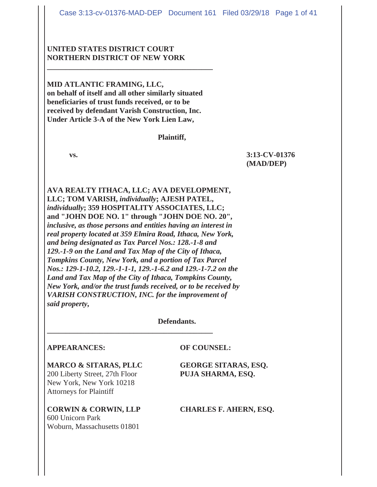# **UNITED STATES DISTRICT COURT NORTHERN DISTRICT OF NEW YORK**

**MID ATLANTIC FRAMING, LLC, on behalf of itself and all other similarly situated beneficiaries of trust funds received, or to be received by defendant Varish Construction, Inc. Under Article 3-A of the New York Lien Law,**

**\_\_\_\_\_\_\_\_\_\_\_\_\_\_\_\_\_\_\_\_\_\_\_\_\_\_\_\_\_\_\_\_\_\_\_\_\_\_\_\_\_\_\_\_**

#### **Plaintiff,**

**vs. 3:13-CV-01376 (MAD/DEP)**

**AVA REALTY ITHACA, LLC; AVA DEVELOPMENT, LLC; TOM VARISH,** *individually***; AJESH PATEL,**  *individually***; 359 HOSPITALITY ASSOCIATES, LLC; and "JOHN DOE NO. 1" through "JOHN DOE NO. 20",** *inclusive, as those persons and entities having an interest in real property located at 359 Elmira Road, Ithaca, New York, and being designated as Tax Parcel Nos.: 128.-1-8 and 129.-1-9 on the Land and Tax Map of the City of Ithaca, Tompkins County, New York, and a portion of Tax Parcel Nos.: 129-1-10.2, 129.-1-1-1, 129.-1-6.2 and 129.-1-7.2 on the Land and Tax Map of the City of Ithaca, Tompkins County, New York, and/or the trust funds received, or to be received by VARISH CONSTRUCTION, INC. for the improvement of said property***,**

**\_\_\_\_\_\_\_\_\_\_\_\_\_\_\_\_\_\_\_\_\_\_\_\_\_\_\_\_\_\_\_\_\_\_\_\_\_\_\_\_\_\_\_\_**

#### **Defendants.**

# **APPEARANCES: OF COUNSEL:**

#### **MARCO & SITARAS, PLLC GEORGE SITARAS, ESQ.**

200 Liberty Street, 27th Floor **PUJA SHARMA, ESQ.** New York, New York 10218 Attorneys for Plaintiff

**CORWIN & CORWIN, LLP CHARLES F. AHERN, ESQ.** 600 Unicorn Park Woburn, Massachusetts 01801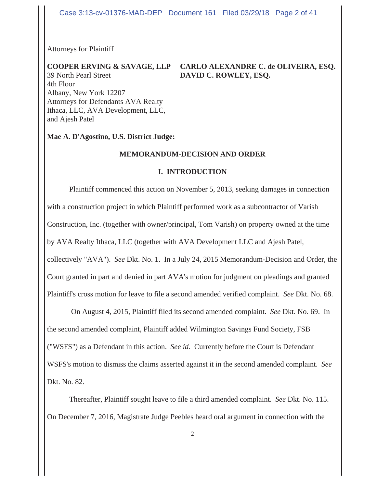Attorneys for Plaintiff

# 39 North Pearl Street **DAVID C. ROWLEY, ESQ.**

# **COOPER ERVING & SAVAGE, LLP CARLO ALEXANDRE C. de OLIVEIRA, ESQ.**

4th Floor Albany, New York 12207 Attorneys for Defendants AVA Realty Ithaca, LLC, AVA Development, LLC, and Ajesh Patel

#### **Mae A. D'Agostino, U.S. District Judge:**

#### **MEMORANDUM-DECISION AND ORDER**

#### **I. INTRODUCTION**

Plaintiff commenced this action on November 5, 2013, seeking damages in connection with a construction project in which Plaintiff performed work as a subcontractor of Varish Construction, Inc. (together with owner/principal, Tom Varish) on property owned at the time by AVA Realty Ithaca, LLC (together with AVA Development LLC and Ajesh Patel, collectively "AVA"). *See* Dkt. No. 1. In a July 24, 2015 Memorandum-Decision and Order, the Court granted in part and denied in part AVA's motion for judgment on pleadings and granted Plaintiff's cross motion for leave to file a second amended verified complaint. *See* Dkt. No. 68.

 On August 4, 2015, Plaintiff filed its second amended complaint. *See* Dkt. No. 69. In the second amended complaint, Plaintiff added Wilmington Savings Fund Society, FSB ("WSFS") as a Defendant in this action. *See id.* Currently before the Court is Defendant WSFS's motion to dismiss the claims asserted against it in the second amended complaint. *See* Dkt. No. 82.

Thereafter, Plaintiff sought leave to file a third amended complaint. *See* Dkt. No. 115. On December 7, 2016, Magistrate Judge Peebles heard oral argument in connection with the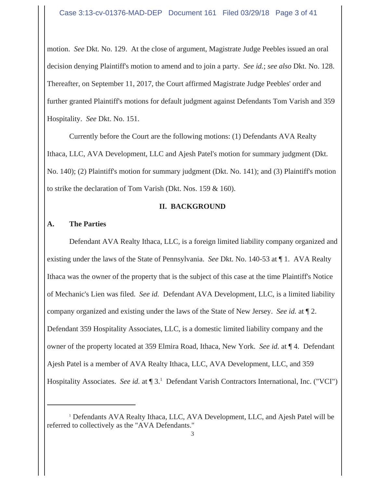motion. *See* Dkt. No. 129. At the close of argument, Magistrate Judge Peebles issued an oral decision denying Plaintiff's motion to amend and to join a party. *See id.*; *see also* Dkt. No. 128. Thereafter, on September 11, 2017, the Court affirmed Magistrate Judge Peebles' order and further granted Plaintiff's motions for default judgment against Defendants Tom Varish and 359 Hospitality. *See* Dkt. No. 151.

Currently before the Court are the following motions: (1) Defendants AVA Realty Ithaca, LLC, AVA Development, LLC and Ajesh Patel's motion for summary judgment (Dkt. No. 140); (2) Plaintiff's motion for summary judgment (Dkt. No. 141); and (3) Plaintiff's motion to strike the declaration of Tom Varish (Dkt. Nos. 159 & 160).

### **II. BACKGROUND**

# **A. The Parties**

Defendant AVA Realty Ithaca, LLC, is a foreign limited liability company organized and existing under the laws of the State of Pennsylvania. *See* Dkt. No. 140-53 at ¶ 1. AVA Realty Ithaca was the owner of the property that is the subject of this case at the time Plaintiff's Notice of Mechanic's Lien was filed. *See id.* Defendant AVA Development, LLC, is a limited liability company organized and existing under the laws of the State of New Jersey. *See id.* at ¶ 2. Defendant 359 Hospitality Associates, LLC, is a domestic limited liability company and the owner of the property located at 359 Elmira Road, Ithaca, New York. *See id.* at ¶ 4. Defendant Ajesh Patel is a member of AVA Realty Ithaca, LLC, AVA Development, LLC, and 359 Hospitality Associates. See id. at [3.<sup>1</sup> Defendant Varish Contractors International, Inc. ("VCI")

<sup>&</sup>lt;sup>1</sup> Defendants AVA Realty Ithaca, LLC, AVA Development, LLC, and Ajesh Patel will be referred to collectively as the "AVA Defendants."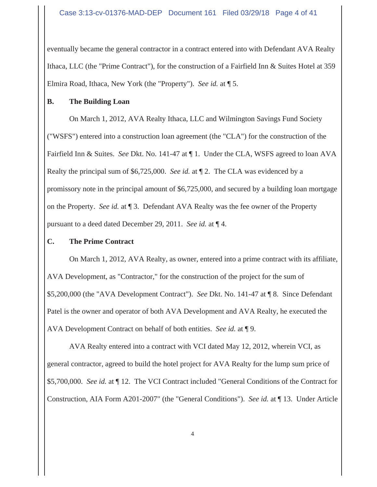eventually became the general contractor in a contract entered into with Defendant AVA Realty Ithaca, LLC (the "Prime Contract"), for the construction of a Fairfield Inn & Suites Hotel at 359 Elmira Road, Ithaca, New York (the "Property"). *See id.* at ¶ 5.

# **B. The Building Loan**

On March 1, 2012, AVA Realty Ithaca, LLC and Wilmington Savings Fund Society ("WSFS") entered into a construction loan agreement (the "CLA") for the construction of the Fairfield Inn & Suites. *See* Dkt. No. 141-47 at ¶ 1. Under the CLA, WSFS agreed to loan AVA Realty the principal sum of \$6,725,000. *See id.* at ¶ 2. The CLA was evidenced by a promissory note in the principal amount of \$6,725,000, and secured by a building loan mortgage on the Property. *See id.* at ¶ 3. Defendant AVA Realty was the fee owner of the Property pursuant to a deed dated December 29, 2011. *See id.* at ¶ 4.

# **C. The Prime Contract**

On March 1, 2012, AVA Realty, as owner, entered into a prime contract with its affiliate, AVA Development, as "Contractor," for the construction of the project for the sum of \$5,200,000 (the "AVA Development Contract"). *See* Dkt. No. 141-47 at ¶ 8. Since Defendant Patel is the owner and operator of both AVA Development and AVA Realty, he executed the AVA Development Contract on behalf of both entities. *See id.* at ¶ 9.

AVA Realty entered into a contract with VCI dated May 12, 2012, wherein VCI, as general contractor, agreed to build the hotel project for AVA Realty for the lump sum price of \$5,700,000. *See id.* at ¶ 12. The VCI Contract included "General Conditions of the Contract for Construction, AIA Form A201-2007" (the "General Conditions"). *See id.* at ¶ 13. Under Article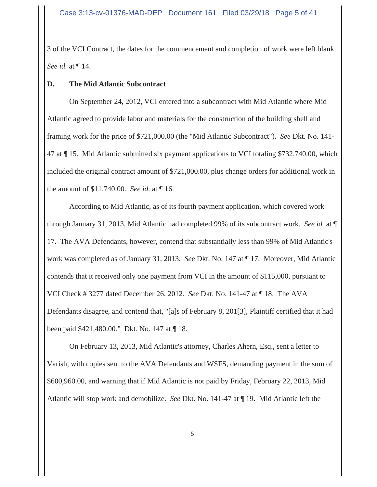3 of the VCI Contract, the dates for the commencement and completion of work were left blank. *See id.* at ¶ 14.

# **D. The Mid Atlantic Subcontract**

On September 24, 2012, VCI entered into a subcontract with Mid Atlantic where Mid Atlantic agreed to provide labor and materials for the construction of the building shell and framing work for the price of \$721,000.00 (the "Mid Atlantic Subcontract"). *See* Dkt. No. 141- 47 at ¶ 15. Mid Atlantic submitted six payment applications to VCI totaling \$732,740.00, which included the original contract amount of \$721,000.00, plus change orders for additional work in the amount of \$11,740.00. *See id.* at ¶ 16.

According to Mid Atlantic, as of its fourth payment application, which covered work through January 31, 2013, Mid Atlantic had completed 99% of its subcontract work. *See id.* at ¶ 17. The AVA Defendants, however, contend that substantially less than 99% of Mid Atlantic's work was completed as of January 31, 2013. *See* Dkt. No. 147 at ¶ 17. Moreover, Mid Atlantic contends that it received only one payment from VCI in the amount of \$115,000, pursuant to VCI Check # 3277 dated December 26, 2012. *See* Dkt. No. 141-47 at ¶ 18. The AVA Defendants disagree, and contend that, "[a]s of February 8, 201[3], Plaintiff certified that it had been paid \$421,480.00." Dkt. No. 147 at ¶ 18.

On February 13, 2013, Mid Atlantic's attorney, Charles Ahern, Esq., sent a letter to Varish, with copies sent to the AVA Defendants and WSFS, demanding payment in the sum of \$600,960.00, and warning that if Mid Atlantic is not paid by Friday, February 22, 2013, Mid Atlantic will stop work and demobilize. *See* Dkt. No. 141-47 at ¶ 19. Mid Atlantic left the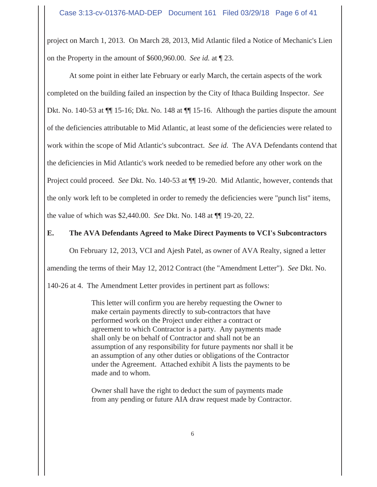project on March 1, 2013. On March 28, 2013, Mid Atlantic filed a Notice of Mechanic's Lien on the Property in the amount of \$600,960.00. *See id.* at ¶ 23.

At some point in either late February or early March, the certain aspects of the work completed on the building failed an inspection by the City of Ithaca Building Inspector. *See* Dkt. No. 140-53 at  $\P$  15-16; Dkt. No. 148 at  $\P$  15-16. Although the parties dispute the amount of the deficiencies attributable to Mid Atlantic, at least some of the deficiencies were related to work within the scope of Mid Atlantic's subcontract. *See id.* The AVA Defendants contend that the deficiencies in Mid Atlantic's work needed to be remedied before any other work on the Project could proceed. *See* Dkt. No. 140-53 at ¶¶ 19-20. Mid Atlantic, however, contends that the only work left to be completed in order to remedy the deficiencies were "punch list" items, the value of which was \$2,440.00. *See* Dkt. No. 148 at ¶¶ 19-20, 22.

# **E. The AVA Defendants Agreed to Make Direct Payments to VCI's Subcontractors**

On February 12, 2013, VCI and Ajesh Patel, as owner of AVA Realty, signed a letter

amending the terms of their May 12, 2012 Contract (the "Amendment Letter"). *See* Dkt. No.

140-26 at 4. The Amendment Letter provides in pertinent part as follows:

This letter will confirm you are hereby requesting the Owner to make certain payments directly to sub-contractors that have performed work on the Project under either a contract or agreement to which Contractor is a party. Any payments made shall only be on behalf of Contractor and shall not be an assumption of any responsibility for future payments nor shall it be an assumption of any other duties or obligations of the Contractor under the Agreement. Attached exhibit A lists the payments to be made and to whom.

Owner shall have the right to deduct the sum of payments made from any pending or future AIA draw request made by Contractor.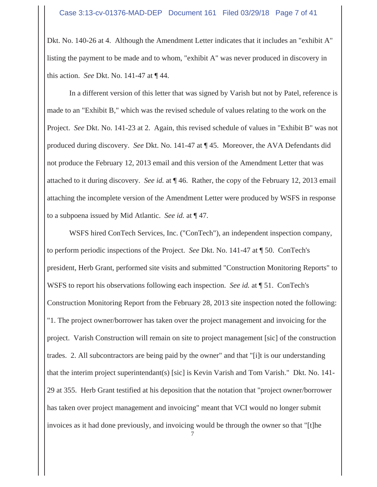Dkt. No. 140-26 at 4. Although the Amendment Letter indicates that it includes an "exhibit A" listing the payment to be made and to whom, "exhibit A" was never produced in discovery in this action. *See* Dkt. No. 141-47 at ¶ 44.

In a different version of this letter that was signed by Varish but not by Patel, reference is made to an "Exhibit B," which was the revised schedule of values relating to the work on the Project. *See* Dkt. No. 141-23 at 2. Again, this revised schedule of values in "Exhibit B" was not produced during discovery. *See* Dkt. No. 141-47 at ¶ 45. Moreover, the AVA Defendants did not produce the February 12, 2013 email and this version of the Amendment Letter that was attached to it during discovery. *See id.* at ¶ 46. Rather, the copy of the February 12, 2013 email attaching the incomplete version of the Amendment Letter were produced by WSFS in response to a subpoena issued by Mid Atlantic. *See id.* at ¶ 47.

WSFS hired ConTech Services, Inc. ("ConTech"), an independent inspection company, to perform periodic inspections of the Project. *See* Dkt. No. 141-47 at ¶ 50. ConTech's president, Herb Grant, performed site visits and submitted "Construction Monitoring Reports" to WSFS to report his observations following each inspection. *See id.* at ¶ 51. ConTech's Construction Monitoring Report from the February 28, 2013 site inspection noted the following: "1. The project owner/borrower has taken over the project management and invoicing for the project. Varish Construction will remain on site to project management [sic] of the construction trades. 2. All subcontractors are being paid by the owner" and that "[i]t is our understanding that the interim project superintendant(s) [sic] is Kevin Varish and Tom Varish." Dkt. No. 141- 29 at 355. Herb Grant testified at his deposition that the notation that "project owner/borrower has taken over project management and invoicing" meant that VCI would no longer submit invoices as it had done previously, and invoicing would be through the owner so that "[t]he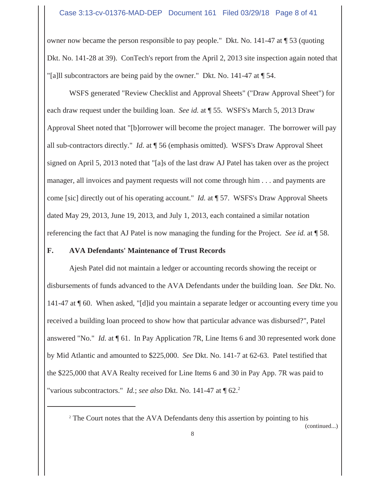### Case 3:13-cv-01376-MAD-DEP Document 161 Filed 03/29/18 Page 8 of 41

owner now became the person responsible to pay people." Dkt. No. 141-47 at ¶ 53 (quoting Dkt. No. 141-28 at 39). ConTech's report from the April 2, 2013 site inspection again noted that "[a]ll subcontractors are being paid by the owner." Dkt. No. 141-47 at ¶ 54.

WSFS generated "Review Checklist and Approval Sheets" ("Draw Approval Sheet") for each draw request under the building loan. *See id.* at ¶ 55. WSFS's March 5, 2013 Draw Approval Sheet noted that "[b]orrower will become the project manager. The borrower will pay all sub-contractors directly." *Id.* at ¶ 56 (emphasis omitted). WSFS's Draw Approval Sheet signed on April 5, 2013 noted that "[a]s of the last draw AJ Patel has taken over as the project manager, all invoices and payment requests will not come through him . . . and payments are come [sic] directly out of his operating account." *Id.* at ¶ 57. WSFS's Draw Approval Sheets dated May 29, 2013, June 19, 2013, and July 1, 2013, each contained a similar notation referencing the fact that AJ Patel is now managing the funding for the Project. *See id.* at ¶ 58.

# **F. AVA Defendants' Maintenance of Trust Records**

Ajesh Patel did not maintain a ledger or accounting records showing the receipt or disbursements of funds advanced to the AVA Defendants under the building loan. *See* Dkt. No. 141-47 at ¶ 60. When asked, "[d]id you maintain a separate ledger or accounting every time you received a building loan proceed to show how that particular advance was disbursed?", Patel answered "No." *Id.* at ¶ 61. In Pay Application 7R, Line Items 6 and 30 represented work done by Mid Atlantic and amounted to \$225,000. *See* Dkt. No. 141-7 at 62-63. Patel testified that the \$225,000 that AVA Realty received for Line Items 6 and 30 in Pay App. 7R was paid to "various subcontractors." *Id.*; *see also* Dkt. No. 141-47 at  $\P$  62.<sup>2</sup>

<sup>2</sup> The Court notes that the AVA Defendants deny this assertion by pointing to his

(continued...)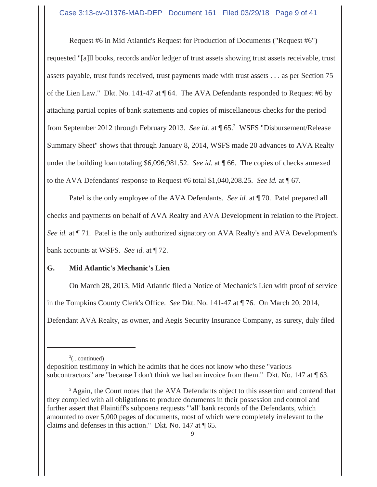# Case 3:13-cv-01376-MAD-DEP Document 161 Filed 03/29/18 Page 9 of 41

Request #6 in Mid Atlantic's Request for Production of Documents ("Request #6") requested "[a]ll books, records and/or ledger of trust assets showing trust assets receivable, trust assets payable, trust funds received, trust payments made with trust assets . . . as per Section 75 of the Lien Law." Dkt. No. 141-47 at ¶ 64. The AVA Defendants responded to Request #6 by attaching partial copies of bank statements and copies of miscellaneous checks for the period from September 2012 through February 2013. *See id.* at ¶ 65.3 WSFS "Disbursement/Release Summary Sheet" shows that through January 8, 2014, WSFS made 20 advances to AVA Realty under the building loan totaling \$6,096,981.52. *See id.* at ¶ 66. The copies of checks annexed to the AVA Defendants' response to Request #6 total \$1,040,208.25. *See id.* at ¶ 67.

Patel is the only employee of the AVA Defendants. *See id.* at ¶ 70. Patel prepared all checks and payments on behalf of AVA Realty and AVA Development in relation to the Project. *See id.* at  $\P$  71. Patel is the only authorized signatory on AVA Realty's and AVA Development's bank accounts at WSFS. *See id.* at ¶ 72.

# **G. Mid Atlantic's Mechanic's Lien**

On March 28, 2013, Mid Atlantic filed a Notice of Mechanic's Lien with proof of service in the Tompkins County Clerk's Office. *See* Dkt. No. 141-47 at ¶ 76. On March 20, 2014, Defendant AVA Realty, as owner, and Aegis Security Insurance Company, as surety, duly filed

 $2^2$ (...continued)

deposition testimony in which he admits that he does not know who these "various subcontractors" are "because I don't think we had an invoice from them." Dkt. No. 147 at  $\P$  63.

<sup>&</sup>lt;sup>3</sup> Again, the Court notes that the AVA Defendants object to this assertion and contend that they complied with all obligations to produce documents in their possession and control and further assert that Plaintiff's subpoena requests "'all' bank records of the Defendants, which amounted to over 5,000 pages of documents, most of which were completely irrelevant to the claims and defenses in this action." Dkt. No. 147 at ¶ 65.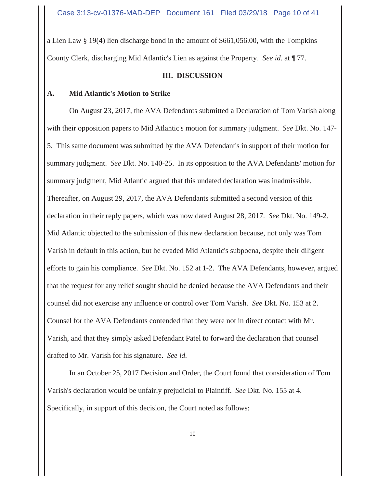a Lien Law § 19(4) lien discharge bond in the amount of \$661,056.00, with the Tompkins County Clerk, discharging Mid Atlantic's Lien as against the Property. *See id.* at ¶ 77.

#### **III. DISCUSSION**

#### **A. Mid Atlantic's Motion to Strike**

On August 23, 2017, the AVA Defendants submitted a Declaration of Tom Varish along with their opposition papers to Mid Atlantic's motion for summary judgment. *See* Dkt. No. 147- 5. This same document was submitted by the AVA Defendant's in support of their motion for summary judgment. *See* Dkt. No. 140-25. In its opposition to the AVA Defendants' motion for summary judgment, Mid Atlantic argued that this undated declaration was inadmissible. Thereafter, on August 29, 2017, the AVA Defendants submitted a second version of this declaration in their reply papers, which was now dated August 28, 2017. *See* Dkt. No. 149-2. Mid Atlantic objected to the submission of this new declaration because, not only was Tom Varish in default in this action, but he evaded Mid Atlantic's subpoena, despite their diligent efforts to gain his compliance. *See* Dkt. No. 152 at 1-2. The AVA Defendants, however, argued that the request for any relief sought should be denied because the AVA Defendants and their counsel did not exercise any influence or control over Tom Varish. *See* Dkt. No. 153 at 2. Counsel for the AVA Defendants contended that they were not in direct contact with Mr. Varish, and that they simply asked Defendant Patel to forward the declaration that counsel drafted to Mr. Varish for his signature. *See id.*

In an October 25, 2017 Decision and Order, the Court found that consideration of Tom Varish's declaration would be unfairly prejudicial to Plaintiff. *See* Dkt. No. 155 at 4. Specifically, in support of this decision, the Court noted as follows: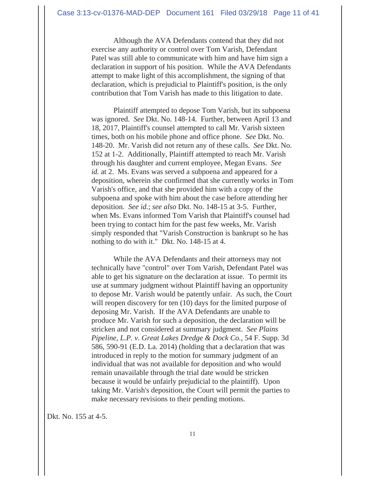Although the AVA Defendants contend that they did not exercise any authority or control over Tom Varish, Defendant Patel was still able to communicate with him and have him sign a declaration in support of his position. While the AVA Defendants attempt to make light of this accomplishment, the signing of that declaration, which is prejudicial to Plaintiff's position, is the only contribution that Tom Varish has made to this litigation to date.

Plaintiff attempted to depose Tom Varish, but its subpoena was ignored. *See* Dkt. No. 148-14. Further, between April 13 and 18, 2017, Plaintiff's counsel attempted to call Mr. Varish sixteen times, both on his mobile phone and office phone. *See* Dkt. No. 148-20. Mr. Varish did not return any of these calls. *See* Dkt. No. 152 at 1-2. Additionally, Plaintiff attempted to reach Mr. Varish through his daughter and current employee, Megan Evans. *See id.* at 2. Ms. Evans was served a subpoena and appeared for a deposition, wherein she confirmed that she currently works in Tom Varish's office, and that she provided him with a copy of the subpoena and spoke with him about the case before attending her deposition. *See id.*; *see also* Dkt. No. 148-15 at 3-5. Further, when Ms. Evans informed Tom Varish that Plaintiff's counsel had been trying to contact him for the past few weeks, Mr. Varish simply responded that "Varish Construction is bankrupt so he has nothing to do with it." Dkt. No. 148-15 at 4.

While the AVA Defendants and their attorneys may not technically have "control" over Tom Varish, Defendant Patel was able to get his signature on the declaration at issue. To permit its use at summary judgment without Plaintiff having an opportunity to depose Mr. Varish would be patently unfair. As such, the Court will reopen discovery for ten (10) days for the limited purpose of deposing Mr. Varish. If the AVA Defendants are unable to produce Mr. Varish for such a deposition, the declaration will be stricken and not considered at summary judgment. *See Plains Pipeline, L.P. v. Great Lakes Dredge & Dock Co.*, 54 F. Supp. 3d 586, 590-91 (E.D. La. 2014) (holding that a declaration that was introduced in reply to the motion for summary judgment of an individual that was not available for deposition and who would remain unavailable through the trial date would be stricken because it would be unfairly prejudicial to the plaintiff). Upon taking Mr. Varish's deposition, the Court will permit the parties to make necessary revisions to their pending motions.

Dkt. No. 155 at 4-5.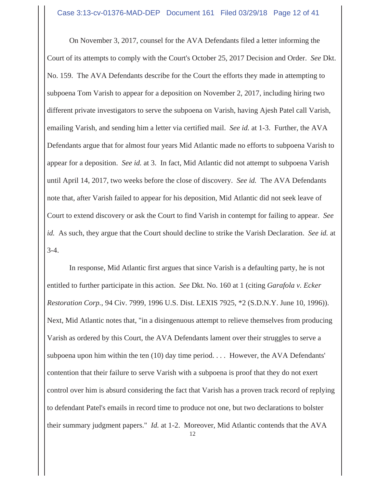On November 3, 2017, counsel for the AVA Defendants filed a letter informing the Court of its attempts to comply with the Court's October 25, 2017 Decision and Order. *See* Dkt. No. 159. The AVA Defendants describe for the Court the efforts they made in attempting to subpoena Tom Varish to appear for a deposition on November 2, 2017, including hiring two different private investigators to serve the subpoena on Varish, having Ajesh Patel call Varish, emailing Varish, and sending him a letter via certified mail. *See id.* at 1-3. Further, the AVA Defendants argue that for almost four years Mid Atlantic made no efforts to subpoena Varish to appear for a deposition. *See id.* at 3. In fact, Mid Atlantic did not attempt to subpoena Varish until April 14, 2017, two weeks before the close of discovery. *See id.* The AVA Defendants note that, after Varish failed to appear for his deposition, Mid Atlantic did not seek leave of Court to extend discovery or ask the Court to find Varish in contempt for failing to appear. *See id.* As such, they argue that the Court should decline to strike the Varish Declaration. *See id.* at 3-4.

In response, Mid Atlantic first argues that since Varish is a defaulting party, he is not entitled to further participate in this action. *See* Dkt. No. 160 at 1 (citing *Garafola v. Ecker Restoration Corp.*, 94 Civ. 7999, 1996 U.S. Dist. LEXIS 7925, \*2 (S.D.N.Y. June 10, 1996)). Next, Mid Atlantic notes that, "in a disingenuous attempt to relieve themselves from producing Varish as ordered by this Court, the AVA Defendants lament over their struggles to serve a subpoena upon him within the ten (10) day time period. . . . However, the AVA Defendants' contention that their failure to serve Varish with a subpoena is proof that they do not exert control over him is absurd considering the fact that Varish has a proven track record of replying to defendant Patel's emails in record time to produce not one, but two declarations to bolster their summary judgment papers." *Id.* at 1-2. Moreover, Mid Atlantic contends that the AVA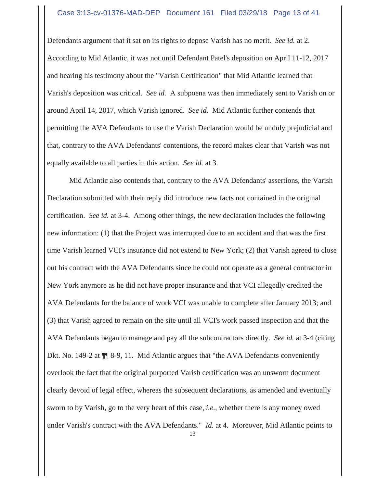#### Case 3:13-cv-01376-MAD-DEP Document 161 Filed 03/29/18 Page 13 of 41

Defendants argument that it sat on its rights to depose Varish has no merit. *See id.* at 2. According to Mid Atlantic, it was not until Defendant Patel's deposition on April 11-12, 2017 and hearing his testimony about the "Varish Certification" that Mid Atlantic learned that Varish's deposition was critical. *See id.* A subpoena was then immediately sent to Varish on or around April 14, 2017, which Varish ignored. *See id.* Mid Atlantic further contends that permitting the AVA Defendants to use the Varish Declaration would be unduly prejudicial and that, contrary to the AVA Defendants' contentions, the record makes clear that Varish was not equally available to all parties in this action. *See id.* at 3.

Mid Atlantic also contends that, contrary to the AVA Defendants' assertions, the Varish Declaration submitted with their reply did introduce new facts not contained in the original certification. *See id.* at 3-4. Among other things, the new declaration includes the following new information: (1) that the Project was interrupted due to an accident and that was the first time Varish learned VCI's insurance did not extend to New York; (2) that Varish agreed to close out his contract with the AVA Defendants since he could not operate as a general contractor in New York anymore as he did not have proper insurance and that VCI allegedly credited the AVA Defendants for the balance of work VCI was unable to complete after January 2013; and (3) that Varish agreed to remain on the site until all VCI's work passed inspection and that the AVA Defendants began to manage and pay all the subcontractors directly. *See id.* at 3-4 (citing Dkt. No. 149-2 at ¶¶ 8-9, 11. Mid Atlantic argues that "the AVA Defendants conveniently overlook the fact that the original purported Varish certification was an unsworn document clearly devoid of legal effect, whereas the subsequent declarations, as amended and eventually sworn to by Varish, go to the very heart of this case, *i.e.*, whether there is any money owed under Varish's contract with the AVA Defendants." *Id.* at 4. Moreover, Mid Atlantic points to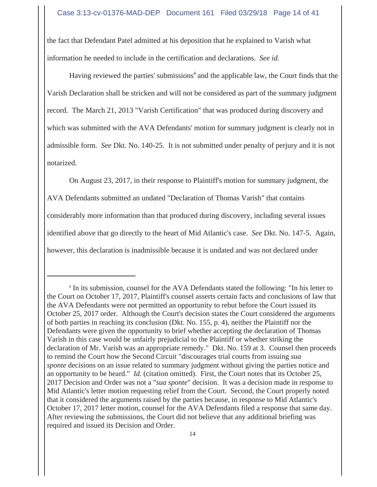the fact that Defendant Patel admitted at his deposition that he explained to Varish what information he needed to include in the certification and declarations. *See id.*

Having reviewed the parties' submissions<sup>4</sup> and the applicable law, the Court finds that the Varish Declaration shall be stricken and will not be considered as part of the summary judgment record. The March 21, 2013 "Varish Certification" that was produced during discovery and which was submitted with the AVA Defendants' motion for summary judgment is clearly not in admissible form. *See* Dkt. No. 140-25. It is not submitted under penalty of perjury and it is not notarized.

On August 23, 2017, in their response to Plaintiff's motion for summary judgment, the AVA Defendants submitted an undated "Declaration of Thomas Varish" that contains considerably more information than that produced during discovery, including several issues identified above that go directly to the heart of Mid Atlantic's case. *See* Dkt. No. 147-5. Again, however, this declaration is inadmissible because it is undated and was not declared under

<sup>&</sup>lt;sup>4</sup> In its submission, counsel for the AVA Defendants stated the following: "In his letter to the Court on October 17, 2017, Plaintiff's counsel asserts certain facts and conclusions of law that the AVA Defendants were not permitted an opportunity to rebut before the Court issued its October 25, 2017 order. Although the Court's decision states the Court considered the arguments of both parties in reaching its conclusion (Dkt. No. 155, p. 4), neither the Plaintiff nor the Defendants were given the opportunity to brief whether accepting the declaration of Thomas Varish in this case would be unfairly prejudicial to the Plaintiff or whether striking the declaration of Mr. Varish was an appropriate remedy." Dkt. No. 159 at 3. Counsel then proceeds to remind the Court how the Second Circuit "discourages trial courts from issuing *sua sponte* decisions on an issue related to summary judgment without giving the parties notice and an opportunity to be heard." *Id.* (citation omitted). First, the Court notes that its October 25, 2017 Decision and Order was not a "*sua sponte*" decision. It was a decision made in response to Mid Atlantic's letter motion requesting relief from the Court. Second, the Court properly noted that it considered the arguments raised by the parties because, in response to Mid Atlantic's October 17, 2017 letter motion, counsel for the AVA Defendants filed a response that same day. After reviewing the submissions, the Court did not believe that any additional briefing was required and issued its Decision and Order.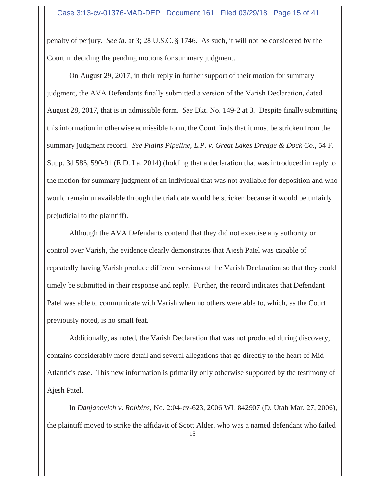penalty of perjury. *See id.* at 3; 28 U.S.C. § 1746. As such, it will not be considered by the Court in deciding the pending motions for summary judgment.

On August 29, 2017, in their reply in further support of their motion for summary judgment, the AVA Defendants finally submitted a version of the Varish Declaration, dated August 28, 2017, that is in admissible form. *See* Dkt. No. 149-2 at 3. Despite finally submitting this information in otherwise admissible form, the Court finds that it must be stricken from the summary judgment record. *See Plains Pipeline, L.P. v. Great Lakes Dredge & Dock Co.*, 54 F. Supp. 3d 586, 590-91 (E.D. La. 2014) (holding that a declaration that was introduced in reply to the motion for summary judgment of an individual that was not available for deposition and who would remain unavailable through the trial date would be stricken because it would be unfairly prejudicial to the plaintiff).

Although the AVA Defendants contend that they did not exercise any authority or control over Varish, the evidence clearly demonstrates that Ajesh Patel was capable of repeatedly having Varish produce different versions of the Varish Declaration so that they could timely be submitted in their response and reply. Further, the record indicates that Defendant Patel was able to communicate with Varish when no others were able to, which, as the Court previously noted, is no small feat.

Additionally, as noted, the Varish Declaration that was not produced during discovery, contains considerably more detail and several allegations that go directly to the heart of Mid Atlantic's case. This new information is primarily only otherwise supported by the testimony of Ajesh Patel.

In *Danjanovich v. Robbins*, No. 2:04-cv-623, 2006 WL 842907 (D. Utah Mar. 27, 2006), the plaintiff moved to strike the affidavit of Scott Alder, who was a named defendant who failed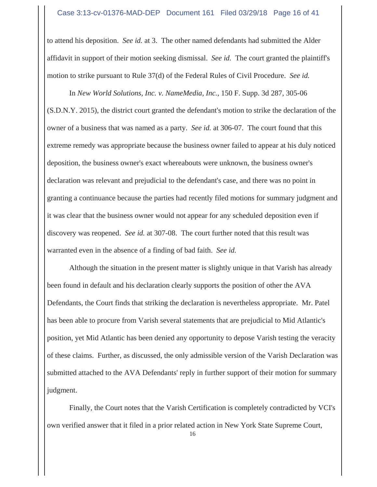#### Case 3:13-cv-01376-MAD-DEP Document 161 Filed 03/29/18 Page 16 of 41

to attend his deposition. *See id.* at 3. The other named defendants had submitted the Alder affidavit in support of their motion seeking dismissal. *See id.* The court granted the plaintiff's motion to strike pursuant to Rule 37(d) of the Federal Rules of Civil Procedure. *See id.*

In *New World Solutions, Inc. v. NameMedia, Inc.*, 150 F. Supp. 3d 287, 305-06 (S.D.N.Y. 2015), the district court granted the defendant's motion to strike the declaration of the owner of a business that was named as a party. *See id.* at 306-07. The court found that this extreme remedy was appropriate because the business owner failed to appear at his duly noticed deposition, the business owner's exact whereabouts were unknown, the business owner's declaration was relevant and prejudicial to the defendant's case, and there was no point in granting a continuance because the parties had recently filed motions for summary judgment and it was clear that the business owner would not appear for any scheduled deposition even if discovery was reopened. *See id.* at 307-08. The court further noted that this result was warranted even in the absence of a finding of bad faith. *See id.*

Although the situation in the present matter is slightly unique in that Varish has already been found in default and his declaration clearly supports the position of other the AVA Defendants, the Court finds that striking the declaration is nevertheless appropriate. Mr. Patel has been able to procure from Varish several statements that are prejudicial to Mid Atlantic's position, yet Mid Atlantic has been denied any opportunity to depose Varish testing the veracity of these claims. Further, as discussed, the only admissible version of the Varish Declaration was submitted attached to the AVA Defendants' reply in further support of their motion for summary judgment.

Finally, the Court notes that the Varish Certification is completely contradicted by VCI's own verified answer that it filed in a prior related action in New York State Supreme Court,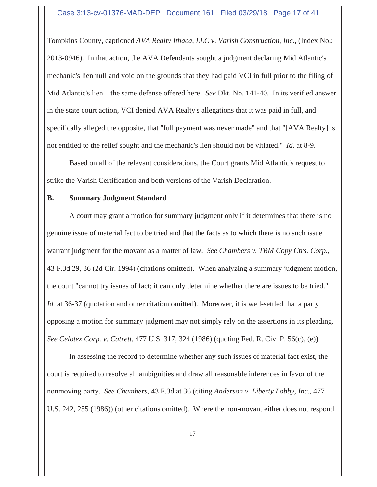#### Case 3:13-cv-01376-MAD-DEP Document 161 Filed 03/29/18 Page 17 of 41

Tompkins County, captioned *AVA Realty Ithaca, LLC v. Varish Construction, Inc.*, (Index No.: 2013-0946). In that action, the AVA Defendants sought a judgment declaring Mid Atlantic's mechanic's lien null and void on the grounds that they had paid VCI in full prior to the filing of Mid Atlantic's lien – the same defense offered here. *See* Dkt. No. 141-40. In its verified answer in the state court action, VCI denied AVA Realty's allegations that it was paid in full, and specifically alleged the opposite, that "full payment was never made" and that "[AVA Realty] is not entitled to the relief sought and the mechanic's lien should not be vitiated." *Id.* at 8-9.

Based on all of the relevant considerations, the Court grants Mid Atlantic's request to strike the Varish Certification and both versions of the Varish Declaration.

#### **B. Summary Judgment Standard**

A court may grant a motion for summary judgment only if it determines that there is no genuine issue of material fact to be tried and that the facts as to which there is no such issue warrant judgment for the movant as a matter of law. *See Chambers v. TRM Copy Ctrs. Corp.*, 43 F.3d 29, 36 (2d Cir. 1994) (citations omitted). When analyzing a summary judgment motion, the court "cannot try issues of fact; it can only determine whether there are issues to be tried." *Id.* at 36-37 (quotation and other citation omitted). Moreover, it is well-settled that a party opposing a motion for summary judgment may not simply rely on the assertions in its pleading. *See Celotex Corp. v. Catrett*, 477 U.S. 317, 324 (1986) (quoting Fed. R. Civ. P. 56(c), (e)).

In assessing the record to determine whether any such issues of material fact exist, the court is required to resolve all ambiguities and draw all reasonable inferences in favor of the nonmoving party. *See Chambers*, 43 F.3d at 36 (citing *Anderson v. Liberty Lobby, Inc.*, 477 U.S. 242, 255 (1986)) (other citations omitted). Where the non-movant either does not respond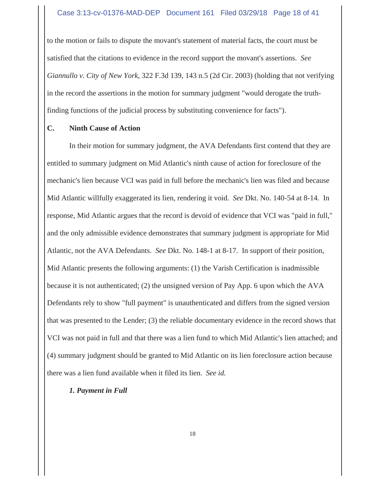to the motion or fails to dispute the movant's statement of material facts, the court must be satisfied that the citations to evidence in the record support the movant's assertions. *See Giannullo v. City of New York*, 322 F.3d 139, 143 n.5 (2d Cir. 2003) (holding that not verifying in the record the assertions in the motion for summary judgment "would derogate the truthfinding functions of the judicial process by substituting convenience for facts").

### **C. Ninth Cause of Action**

In their motion for summary judgment, the AVA Defendants first contend that they are entitled to summary judgment on Mid Atlantic's ninth cause of action for foreclosure of the mechanic's lien because VCI was paid in full before the mechanic's lien was filed and because Mid Atlantic willfully exaggerated its lien, rendering it void. *See* Dkt. No. 140-54 at 8-14. In response, Mid Atlantic argues that the record is devoid of evidence that VCI was "paid in full," and the only admissible evidence demonstrates that summary judgment is appropriate for Mid Atlantic, not the AVA Defendants. *See* Dkt. No. 148-1 at 8-17. In support of their position, Mid Atlantic presents the following arguments: (1) the Varish Certification is inadmissible because it is not authenticated; (2) the unsigned version of Pay App. 6 upon which the AVA Defendants rely to show "full payment" is unauthenticated and differs from the signed version that was presented to the Lender; (3) the reliable documentary evidence in the record shows that VCI was not paid in full and that there was a lien fund to which Mid Atlantic's lien attached; and (4) summary judgment should be granted to Mid Atlantic on its lien foreclosure action because there was a lien fund available when it filed its lien. *See id.*

# *1. Payment in Full*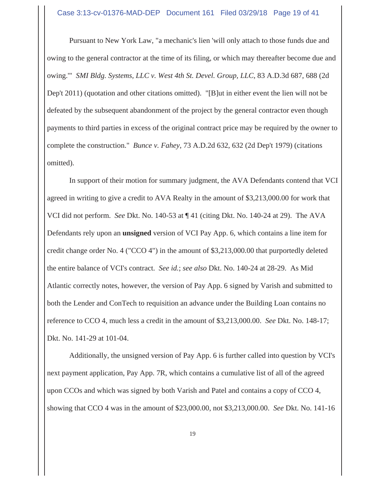Pursuant to New York Law, "a mechanic's lien 'will only attach to those funds due and owing to the general contractor at the time of its filing, or which may thereafter become due and owing.'" *SMI Bldg. Systems, LLC v. West 4th St. Devel. Group, LLC*, 83 A.D.3d 687, 688 (2d Dep't 2011) (quotation and other citations omitted). "[B]ut in either event the lien will not be defeated by the subsequent abandonment of the project by the general contractor even though payments to third parties in excess of the original contract price may be required by the owner to complete the construction." *Bunce v. Fahey*, 73 A.D.2d 632, 632 (2d Dep't 1979) (citations omitted).

In support of their motion for summary judgment, the AVA Defendants contend that VCI agreed in writing to give a credit to AVA Realty in the amount of \$3,213,000.00 for work that VCI did not perform. *See* Dkt. No. 140-53 at ¶ 41 (citing Dkt. No. 140-24 at 29). The AVA Defendants rely upon an **unsigned** version of VCI Pay App. 6, which contains a line item for credit change order No. 4 ("CCO 4") in the amount of \$3,213,000.00 that purportedly deleted the entire balance of VCI's contract. *See id.*; *see also* Dkt. No. 140-24 at 28-29. As Mid Atlantic correctly notes, however, the version of Pay App. 6 signed by Varish and submitted to both the Lender and ConTech to requisition an advance under the Building Loan contains no reference to CCO 4, much less a credit in the amount of \$3,213,000.00. *See* Dkt. No. 148-17; Dkt. No. 141-29 at 101-04.

Additionally, the unsigned version of Pay App. 6 is further called into question by VCI's next payment application, Pay App. 7R, which contains a cumulative list of all of the agreed upon CCOs and which was signed by both Varish and Patel and contains a copy of CCO 4, showing that CCO 4 was in the amount of \$23,000.00, not \$3,213,000.00. *See* Dkt. No. 141-16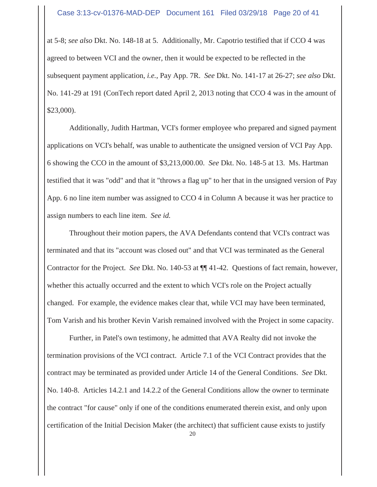at 5-8; *see also* Dkt. No. 148-18 at 5. Additionally, Mr. Capotrio testified that if CCO 4 was agreed to between VCI and the owner, then it would be expected to be reflected in the subsequent payment application, *i.e.*, Pay App. 7R. *See* Dkt. No. 141-17 at 26-27; *see also* Dkt. No. 141-29 at 191 (ConTech report dated April 2, 2013 noting that CCO 4 was in the amount of \$23,000).

Additionally, Judith Hartman, VCI's former employee who prepared and signed payment applications on VCI's behalf, was unable to authenticate the unsigned version of VCI Pay App. 6 showing the CCO in the amount of \$3,213,000.00. *See* Dkt. No. 148-5 at 13. Ms. Hartman testified that it was "odd" and that it "throws a flag up" to her that in the unsigned version of Pay App. 6 no line item number was assigned to CCO 4 in Column A because it was her practice to assign numbers to each line item. *See id.*

Throughout their motion papers, the AVA Defendants contend that VCI's contract was terminated and that its "account was closed out" and that VCI was terminated as the General Contractor for the Project. *See* Dkt. No. 140-53 at ¶¶ 41-42. Questions of fact remain, however, whether this actually occurred and the extent to which VCI's role on the Project actually changed. For example, the evidence makes clear that, while VCI may have been terminated, Tom Varish and his brother Kevin Varish remained involved with the Project in some capacity.

 Further, in Patel's own testimony, he admitted that AVA Realty did not invoke the termination provisions of the VCI contract. Article 7.1 of the VCI Contract provides that the contract may be terminated as provided under Article 14 of the General Conditions. *See* Dkt. No. 140-8. Articles 14.2.1 and 14.2.2 of the General Conditions allow the owner to terminate the contract "for cause" only if one of the conditions enumerated therein exist, and only upon certification of the Initial Decision Maker (the architect) that sufficient cause exists to justify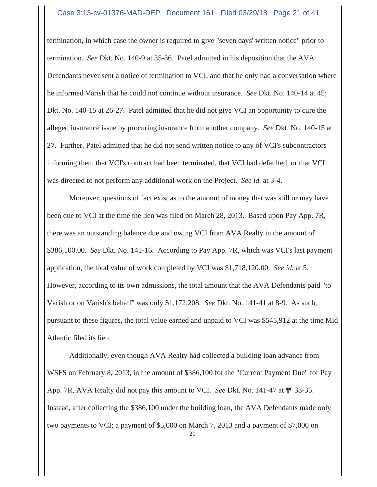#### Case 3:13-cv-01376-MAD-DEP Document 161 Filed 03/29/18 Page 21 of 41

termination, in which case the owner is required to give "seven days' written notice" prior to termination. *See* Dkt. No. 140-9 at 35-36. Patel admitted in his deposition that the AVA Defendants never sent a notice of termination to VCI, and that he only had a conversation where he informed Varish that he could not continue without insurance. *See* Dkt. No. 140-14 at 45; Dkt. No. 140-15 at 26-27. Patel admitted that he did not give VCI an opportunity to cure the alleged insurance issue by procuring insurance from another company. *See* Dkt. No. 140-15 at 27. Further, Patel admitted that he did not send written notice to any of VCI's subcontractors informing them that VCI's contract had been terminated, that VCI had defaulted, or that VCI was directed to not perform any additional work on the Project. *See id.* at 3-4.

Moreover, questions of fact exist as to the amount of money that was still or may have been due to VCI at the time the lien was filed on March 28, 2013. Based upon Pay App. 7R, there was an outstanding balance due and owing VCI from AVA Realty in the amount of \$386,100.00. *See* Dkt. No. 141-16. According to Pay App. 7R, which was VCI's last payment application, the total value of work completed by VCI was \$1,718,120.00. *See id.* at 5. However, according to its own admissions, the total amount that the AVA Defendants paid "to Varish or on Varish's behalf" was only \$1,172,208. *See* Dkt. No. 141-41 at 8-9. As such, pursuant to these figures, the total value earned and unpaid to VCI was \$545,912 at the time Mid Atlantic filed its lien.

Additionally, even though AVA Realty had collected a building loan advance from WSFS on February 8, 2013, in the amount of \$386,100 for the "Current Payment Due" for Pay App. 7R, AVA Realty did not pay this amount to VCI. *See* Dkt. No. 141-47 at ¶¶ 33-35. Instead, after collecting the \$386,100 under the building loan, the AVA Defendants made only two payments to VCI; a payment of \$5,000 on March 7, 2013 and a payment of \$7,000 on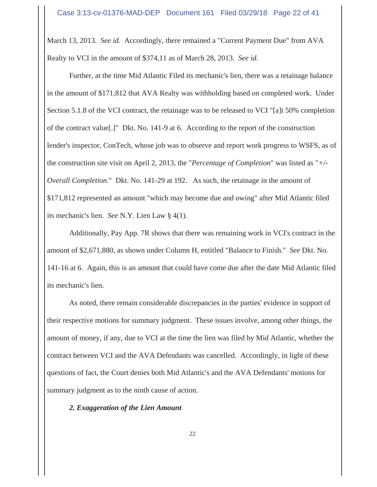March 13, 2013. *See id.* Accordingly, there remained a "Current Payment Due" from AVA Realty to VCI in the amount of \$374,11 as of March 28, 2013. *See id.*

Further, at the time Mid Atlantic Filed its mechanic's lien, there was a retainage balance in the amount of \$171,812 that AVA Realty was withholding based on completed work. Under Section 5.1.8 of the VCI contract, the retainage was to be released to VCI "[a]t 50% completion of the contract value[.]" Dkt. No. 141-9 at 6. According to the report of the construction lender's inspector, ConTech, whose job was to observe and report work progress to WSFS, as of the construction site visit on April 2, 2013, the "*Percentage of Completion*" was listed as "*+/- Overall Completion*." Dkt. No. 141-29 at 192. As such, the retainage in the amount of \$171,812 represented an amount "which may become due and owing" after Mid Atlantic filed its mechanic's lien. *See* N.Y. Lien Law § 4(1).

Additionally, Pay App. 7R shows that there was remaining work in VCI's contract in the amount of \$2,671,880, as shown under Column H, entitled "Balance to Finish." *See* Dkt. No. 141-16 at 6. Again, this is an amount that could have come due after the date Mid Atlantic filed its mechanic's lien.

As noted, there remain considerable discrepancies in the parties' evidence in support of their respective motions for summary judgment. These issues involve, among other things, the amount of money, if any, due to VCI at the time the lien was filed by Mid Atlantic, whether the contract between VCI and the AVA Defendants was cancelled. Accordingly, in light of these questions of fact, the Court denies both Mid Atlantic's and the AVA Defendants' motions for summary judgment as to the ninth cause of action.

#### *2. Exaggeration of the Lien Amount*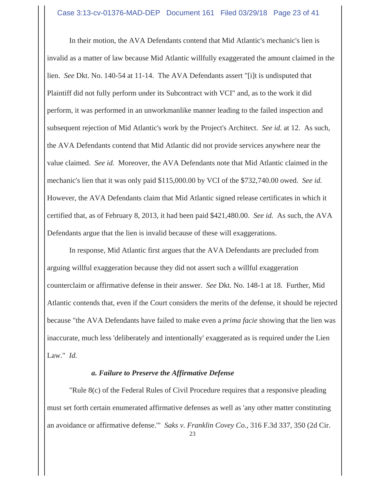In their motion, the AVA Defendants contend that Mid Atlantic's mechanic's lien is invalid as a matter of law because Mid Atlantic willfully exaggerated the amount claimed in the lien. *See* Dkt. No. 140-54 at 11-14. The AVA Defendants assert "[i]t is undisputed that Plaintiff did not fully perform under its Subcontract with VCI" and, as to the work it did perform, it was performed in an unworkmanlike manner leading to the failed inspection and subsequent rejection of Mid Atlantic's work by the Project's Architect. *See id.* at 12. As such, the AVA Defendants contend that Mid Atlantic did not provide services anywhere near the value claimed. *See id.* Moreover, the AVA Defendants note that Mid Atlantic claimed in the mechanic's lien that it was only paid \$115,000.00 by VCI of the \$732,740.00 owed. *See id.* However, the AVA Defendants claim that Mid Atlantic signed release certificates in which it certified that, as of February 8, 2013, it had been paid \$421,480.00. *See id.* As such, the AVA Defendants argue that the lien is invalid because of these will exaggerations.

In response, Mid Atlantic first argues that the AVA Defendants are precluded from arguing willful exaggeration because they did not assert such a willful exaggeration counterclaim or affirmative defense in their answer. *See* Dkt. No. 148-1 at 18. Further, Mid Atlantic contends that, even if the Court considers the merits of the defense, it should be rejected because "the AVA Defendants have failed to make even a *prima facie* showing that the lien was inaccurate, much less 'deliberately and intentionally' exaggerated as is required under the Lien Law." *Id.*

#### *a. Failure to Preserve the Affirmative Defense*

"Rule 8(c) of the Federal Rules of Civil Procedure requires that a responsive pleading must set forth certain enumerated affirmative defenses as well as 'any other matter constituting an avoidance or affirmative defense.'" *Saks v. Franklin Covey Co.*, 316 F.3d 337, 350 (2d Cir.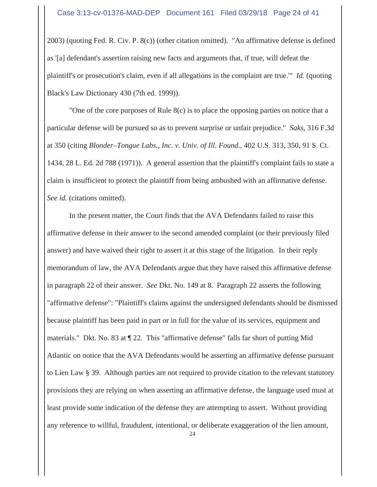2003) (quoting Fed. R. Civ. P. 8(c)) (other citation omitted). "An affirmative defense is defined as '[a] defendant's assertion raising new facts and arguments that, if true, will defeat the plaintiff's or prosecution's claim, even if all allegations in the complaint are true.'" *Id.* (quoting Black's Law Dictionary 430 (7th ed. 1999)).

"One of the core purposes of Rule 8(c) is to place the opposing parties on notice that a particular defense will be pursued so as to prevent surprise or unfair prejudice." *Saks*, 316 F.3d at 350 (citing *Blonder–Tongue Labs., Inc. v. Univ. of Ill. Found.*, 402 U.S. 313, 350, 91 S. Ct. 1434, 28 L. Ed. 2d 788 (1971)). A general assertion that the plaintiff's complaint fails to state a claim is insufficient to protect the plaintiff from being ambushed with an affirmative defense. *See id.* (citations omitted).

In the present matter, the Court finds that the AVA Defendants failed to raise this affirmative defense in their answer to the second amended complaint (or their previously filed answer) and have waived their right to assert it at this stage of the litigation. In their reply memorandum of law, the AVA Defendants argue that they have raised this affirmative defense in paragraph 22 of their answer. *See* Dkt. No. 149 at 8. Paragraph 22 asserts the following "affirmative defense": "Plaintiff's claims against the undersigned defendants should be dismissed because plaintiff has been paid in part or in full for the value of its services, equipment and materials." Dkt. No. 83 at ¶ 22. This "affirmative defense" falls far short of putting Mid Atlantic on notice that the AVA Defendants would be asserting an affirmative defense pursuant to Lien Law § 39. Although parties are not required to provide citation to the relevant statutory provisions they are relying on when asserting an affirmative defense, the language used must at least provide some indication of the defense they are attempting to assert. Without providing any reference to willful, fraudulent, intentional, or deliberate exaggeration of the lien amount,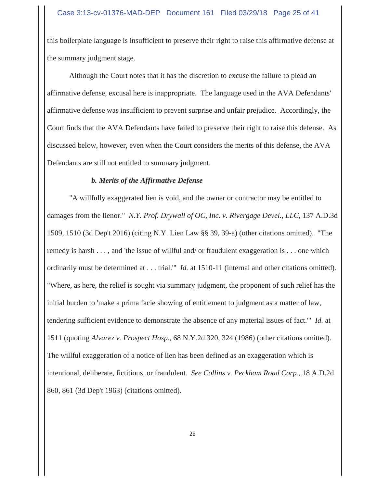this boilerplate language is insufficient to preserve their right to raise this affirmative defense at the summary judgment stage.

Although the Court notes that it has the discretion to excuse the failure to plead an affirmative defense, excusal here is inappropriate. The language used in the AVA Defendants' affirmative defense was insufficient to prevent surprise and unfair prejudice. Accordingly, the Court finds that the AVA Defendants have failed to preserve their right to raise this defense. As discussed below, however, even when the Court considers the merits of this defense, the AVA Defendants are still not entitled to summary judgment.

# *b. Merits of the Affirmative Defense*

"A willfully exaggerated lien is void, and the owner or contractor may be entitled to damages from the lienor." *N.Y. Prof. Drywall of OC, Inc. v. Rivergage Devel., LLC*, 137 A.D.3d 1509, 1510 (3d Dep't 2016) (citing N.Y. Lien Law §§ 39, 39-a) (other citations omitted). "The remedy is harsh . . . , and 'the issue of willful and/ or fraudulent exaggeration is . . . one which ordinarily must be determined at . . . trial.'" *Id.* at 1510-11 (internal and other citations omitted). "Where, as here, the relief is sought via summary judgment, the proponent of such relief has the initial burden to 'make a prima facie showing of entitlement to judgment as a matter of law, tendering sufficient evidence to demonstrate the absence of any material issues of fact.'" *Id.* at 1511 (quoting *Alvarez v. Prospect Hosp.*, 68 N.Y.2d 320, 324 (1986) (other citations omitted). The willful exaggeration of a notice of lien has been defined as an exaggeration which is intentional, deliberate, fictitious, or fraudulent. *See Collins v. Peckham Road Corp.*, 18 A.D.2d 860, 861 (3d Dep't 1963) (citations omitted).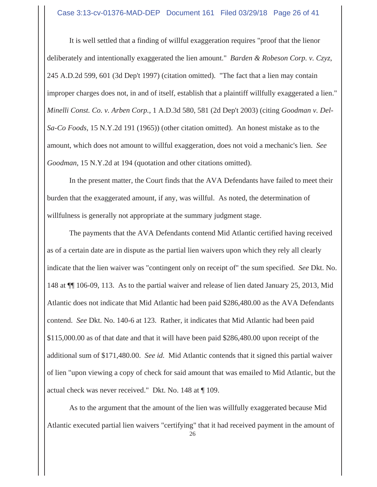#### Case 3:13-cv-01376-MAD-DEP Document 161 Filed 03/29/18 Page 26 of 41

It is well settled that a finding of willful exaggeration requires "proof that the lienor deliberately and intentionally exaggerated the lien amount." *Barden & Robeson Corp. v. Czyz*, 245 A.D.2d 599, 601 (3d Dep't 1997) (citation omitted). "The fact that a lien may contain improper charges does not, in and of itself, establish that a plaintiff willfully exaggerated a lien." *Minelli Const. Co. v. Arben Corp.*, 1 A.D.3d 580, 581 (2d Dep't 2003) (citing *Goodman v. Del-Sa-Co Foods*, 15 N.Y.2d 191 (1965)) (other citation omitted). An honest mistake as to the amount, which does not amount to willful exaggeration, does not void a mechanic's lien. *See Goodman*, 15 N.Y.2d at 194 (quotation and other citations omitted).

In the present matter, the Court finds that the AVA Defendants have failed to meet their burden that the exaggerated amount, if any, was willful. As noted, the determination of willfulness is generally not appropriate at the summary judgment stage.

The payments that the AVA Defendants contend Mid Atlantic certified having received as of a certain date are in dispute as the partial lien waivers upon which they rely all clearly indicate that the lien waiver was "contingent only on receipt of" the sum specified. *See* Dkt. No. 148 at ¶¶ 106-09, 113. As to the partial waiver and release of lien dated January 25, 2013, Mid Atlantic does not indicate that Mid Atlantic had been paid \$286,480.00 as the AVA Defendants contend. *See* Dkt. No. 140-6 at 123. Rather, it indicates that Mid Atlantic had been paid \$115,000.00 as of that date and that it will have been paid \$286,480.00 upon receipt of the additional sum of \$171,480.00. *See id.* Mid Atlantic contends that it signed this partial waiver of lien "upon viewing a copy of check for said amount that was emailed to Mid Atlantic, but the actual check was never received." Dkt. No. 148 at ¶ 109.

As to the argument that the amount of the lien was willfully exaggerated because Mid Atlantic executed partial lien waivers "certifying" that it had received payment in the amount of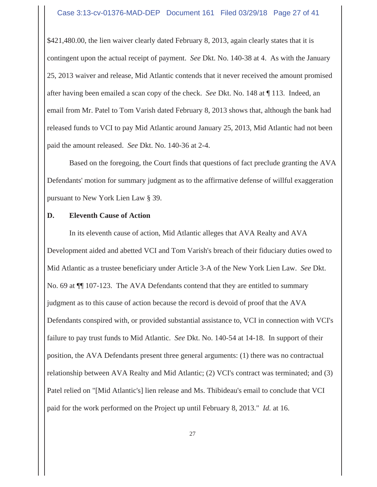\$421,480.00, the lien waiver clearly dated February 8, 2013, again clearly states that it is contingent upon the actual receipt of payment. *See* Dkt. No. 140-38 at 4. As with the January 25, 2013 waiver and release, Mid Atlantic contends that it never received the amount promised after having been emailed a scan copy of the check. *See* Dkt. No. 148 at ¶ 113. Indeed, an email from Mr. Patel to Tom Varish dated February 8, 2013 shows that, although the bank had released funds to VCI to pay Mid Atlantic around January 25, 2013, Mid Atlantic had not been paid the amount released. *See* Dkt. No. 140-36 at 2-4.

Based on the foregoing, the Court finds that questions of fact preclude granting the AVA Defendants' motion for summary judgment as to the affirmative defense of willful exaggeration pursuant to New York Lien Law § 39.

#### **D. Eleventh Cause of Action**

In its eleventh cause of action, Mid Atlantic alleges that AVA Realty and AVA Development aided and abetted VCI and Tom Varish's breach of their fiduciary duties owed to Mid Atlantic as a trustee beneficiary under Article 3-A of the New York Lien Law. *See* Dkt. No. 69 at ¶¶ 107-123. The AVA Defendants contend that they are entitled to summary judgment as to this cause of action because the record is devoid of proof that the AVA Defendants conspired with, or provided substantial assistance to, VCI in connection with VCI's failure to pay trust funds to Mid Atlantic. *See* Dkt. No. 140-54 at 14-18. In support of their position, the AVA Defendants present three general arguments: (1) there was no contractual relationship between AVA Realty and Mid Atlantic; (2) VCI's contract was terminated; and (3) Patel relied on "[Mid Atlantic's] lien release and Ms. Thibideau's email to conclude that VCI paid for the work performed on the Project up until February 8, 2013." *Id.* at 16.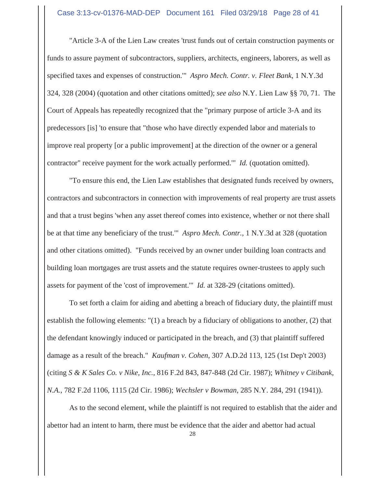"Article 3-A of the Lien Law creates 'trust funds out of certain construction payments or funds to assure payment of subcontractors, suppliers, architects, engineers, laborers, as well as specified taxes and expenses of construction.'" *Aspro Mech. Contr. v. Fleet Bank*, 1 N.Y.3d 324, 328 (2004) (quotation and other citations omitted); *see also* N.Y. Lien Law §§ 70, 71. The Court of Appeals has repeatedly recognized that the "primary purpose of article 3-A and its predecessors [is] 'to ensure that "those who have directly expended labor and materials to improve real property [or a public improvement] at the direction of the owner or a general contractor" receive payment for the work actually performed.'" *Id.* (quotation omitted).

"To ensure this end, the Lien Law establishes that designated funds received by owners, contractors and subcontractors in connection with improvements of real property are trust assets and that a trust begins 'when any asset thereof comes into existence, whether or not there shall be at that time any beneficiary of the trust.'" *Aspro Mech. Contr.*, 1 N.Y.3d at 328 (quotation and other citations omitted). "Funds received by an owner under building loan contracts and building loan mortgages are trust assets and the statute requires owner-trustees to apply such assets for payment of the 'cost of improvement.'" *Id.* at 328-29 (citations omitted).

To set forth a claim for aiding and abetting a breach of fiduciary duty, the plaintiff must establish the following elements: "(1) a breach by a fiduciary of obligations to another, (2) that the defendant knowingly induced or participated in the breach, and (3) that plaintiff suffered damage as a result of the breach." *Kaufman v. Cohen*, 307 A.D.2d 113, 125 (1st Dep't 2003) (citing *S & K Sales Co. v Nike, Inc.*, 816 F.2d 843, 847-848 (2d Cir. 1987); *Whitney v Citibank, N.A.*, 782 F.2d 1106, 1115 (2d Cir. 1986); *Wechsler v Bowman*, 285 N.Y. 284, 291 (1941)).

As to the second element, while the plaintiff is not required to establish that the aider and abettor had an intent to harm, there must be evidence that the aider and abettor had actual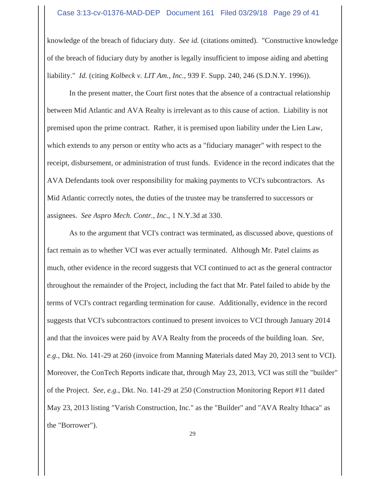#### Case 3:13-cv-01376-MAD-DEP Document 161 Filed 03/29/18 Page 29 of 41

knowledge of the breach of fiduciary duty. *See id.* (citations omitted). "Constructive knowledge of the breach of fiduciary duty by another is legally insufficient to impose aiding and abetting liability." *Id.* (citing *Kolbeck v. LIT Am., Inc.*, 939 F. Supp. 240, 246 (S.D.N.Y. 1996)).

In the present matter, the Court first notes that the absence of a contractual relationship between Mid Atlantic and AVA Realty is irrelevant as to this cause of action. Liability is not premised upon the prime contract. Rather, it is premised upon liability under the Lien Law, which extends to any person or entity who acts as a "fiduciary manager" with respect to the receipt, disbursement, or administration of trust funds. Evidence in the record indicates that the AVA Defendants took over responsibility for making payments to VCI's subcontractors. As Mid Atlantic correctly notes, the duties of the trustee may be transferred to successors or assignees. *See Aspro Mech. Contr., Inc.*, 1 N.Y.3d at 330.

As to the argument that VCI's contract was terminated, as discussed above, questions of fact remain as to whether VCI was ever actually terminated. Although Mr. Patel claims as much, other evidence in the record suggests that VCI continued to act as the general contractor throughout the remainder of the Project, including the fact that Mr. Patel failed to abide by the terms of VCI's contract regarding termination for cause. Additionally, evidence in the record suggests that VCI's subcontractors continued to present invoices to VCI through January 2014 and that the invoices were paid by AVA Realty from the proceeds of the building loan. *See, e.g.*, Dkt. No. 141-29 at 260 (invoice from Manning Materials dated May 20, 2013 sent to VCI). Moreover, the ConTech Reports indicate that, through May 23, 2013, VCI was still the "builder" of the Project. *See, e.g.*, Dkt. No. 141-29 at 250 (Construction Monitoring Report #11 dated May 23, 2013 listing "Varish Construction, Inc." as the "Builder" and "AVA Realty Ithaca" as the "Borrower").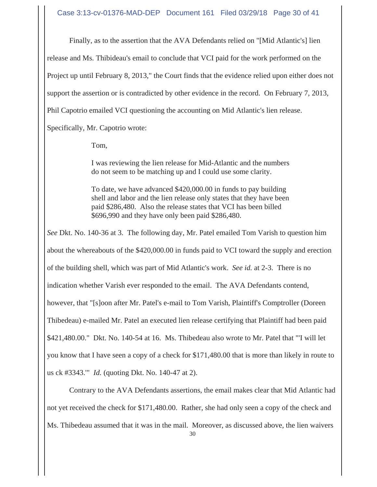Case 3:13-cv-01376-MAD-DEP Document 161 Filed 03/29/18 Page 30 of 41

Finally, as to the assertion that the AVA Defendants relied on "[Mid Atlantic's] lien

release and Ms. Thibideau's email to conclude that VCI paid for the work performed on the

Project up until February 8, 2013," the Court finds that the evidence relied upon either does not

support the assertion or is contradicted by other evidence in the record. On February 7, 2013,

Phil Capotrio emailed VCI questioning the accounting on Mid Atlantic's lien release.

Specifically, Mr. Capotrio wrote:

Tom,

I was reviewing the lien release for Mid-Atlantic and the numbers do not seem to be matching up and I could use some clarity.

To date, we have advanced \$420,000.00 in funds to pay building shell and labor and the lien release only states that they have been paid \$286,480. Also the release states that VCI has been billed \$696,990 and they have only been paid \$286,480.

*See* Dkt. No. 140-36 at 3. The following day, Mr. Patel emailed Tom Varish to question him about the whereabouts of the \$420,000.00 in funds paid to VCI toward the supply and erection of the building shell, which was part of Mid Atlantic's work. *See id.* at 2-3. There is no indication whether Varish ever responded to the email. The AVA Defendants contend, however, that "[s]oon after Mr. Patel's e-mail to Tom Varish, Plaintiff's Comptroller (Doreen Thibedeau) e-mailed Mr. Patel an executed lien release certifying that Plaintiff had been paid \$421,480.00." Dkt. No. 140-54 at 16. Ms. Thibedeau also wrote to Mr. Patel that "'I will let you know that I have seen a copy of a check for \$171,480.00 that is more than likely in route to us ck #3343.'" *Id.* (quoting Dkt. No. 140-47 at 2).

Contrary to the AVA Defendants assertions, the email makes clear that Mid Atlantic had not yet received the check for \$171,480.00. Rather, she had only seen a copy of the check and Ms. Thibedeau assumed that it was in the mail. Moreover, as discussed above, the lien waivers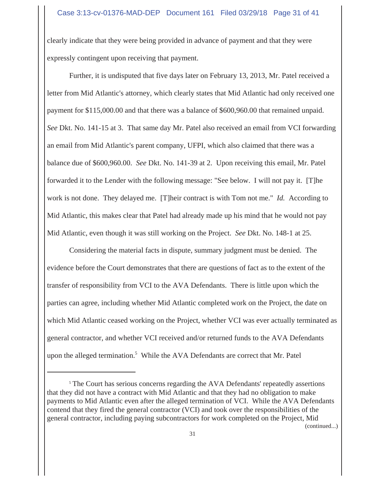clearly indicate that they were being provided in advance of payment and that they were expressly contingent upon receiving that payment.

Further, it is undisputed that five days later on February 13, 2013, Mr. Patel received a letter from Mid Atlantic's attorney, which clearly states that Mid Atlantic had only received one payment for \$115,000.00 and that there was a balance of \$600,960.00 that remained unpaid. *See* Dkt. No. 141-15 at 3. That same day Mr. Patel also received an email from VCI forwarding an email from Mid Atlantic's parent company, UFPI, which also claimed that there was a balance due of \$600,960.00. *See* Dkt. No. 141-39 at 2. Upon receiving this email, Mr. Patel forwarded it to the Lender with the following message: "See below. I will not pay it. [T]he work is not done. They delayed me. [T]heir contract is with Tom not me." *Id.* According to Mid Atlantic, this makes clear that Patel had already made up his mind that he would not pay Mid Atlantic, even though it was still working on the Project. *See* Dkt. No. 148-1 at 25.

Considering the material facts in dispute, summary judgment must be denied. The evidence before the Court demonstrates that there are questions of fact as to the extent of the transfer of responsibility from VCI to the AVA Defendants. There is little upon which the parties can agree, including whether Mid Atlantic completed work on the Project, the date on which Mid Atlantic ceased working on the Project, whether VCI was ever actually terminated as general contractor, and whether VCI received and/or returned funds to the AVA Defendants upon the alleged termination.<sup>5</sup> While the AVA Defendants are correct that Mr. Patel

(continued...)

<sup>&</sup>lt;sup>5</sup> The Court has serious concerns regarding the AVA Defendants' repeatedly assertions that they did not have a contract with Mid Atlantic and that they had no obligation to make payments to Mid Atlantic even after the alleged termination of VCI. While the AVA Defendants contend that they fired the general contractor (VCI) and took over the responsibilities of the general contractor, including paying subcontractors for work completed on the Project, Mid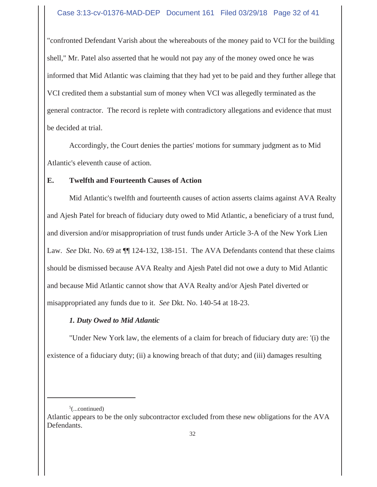"confronted Defendant Varish about the whereabouts of the money paid to VCI for the building shell," Mr. Patel also asserted that he would not pay any of the money owed once he was informed that Mid Atlantic was claiming that they had yet to be paid and they further allege that VCI credited them a substantial sum of money when VCI was allegedly terminated as the general contractor. The record is replete with contradictory allegations and evidence that must be decided at trial.

Accordingly, the Court denies the parties' motions for summary judgment as to Mid Atlantic's eleventh cause of action.

# **E. Twelfth and Fourteenth Causes of Action**

Mid Atlantic's twelfth and fourteenth causes of action asserts claims against AVA Realty and Ajesh Patel for breach of fiduciary duty owed to Mid Atlantic, a beneficiary of a trust fund, and diversion and/or misappropriation of trust funds under Article 3-A of the New York Lien Law. *See* Dkt. No. 69 at  $\P$  124-132, 138-151. The AVA Defendants contend that these claims should be dismissed because AVA Realty and Ajesh Patel did not owe a duty to Mid Atlantic and because Mid Atlantic cannot show that AVA Realty and/or Ajesh Patel diverted or misappropriated any funds due to it. *See* Dkt. No. 140-54 at 18-23.

# *1. Duty Owed to Mid Atlantic*

"Under New York law, the elements of a claim for breach of fiduciary duty are: '(i) the existence of a fiduciary duty; (ii) a knowing breach of that duty; and (iii) damages resulting

 $5$ (...continued)

Atlantic appears to be the only subcontractor excluded from these new obligations for the AVA Defendants.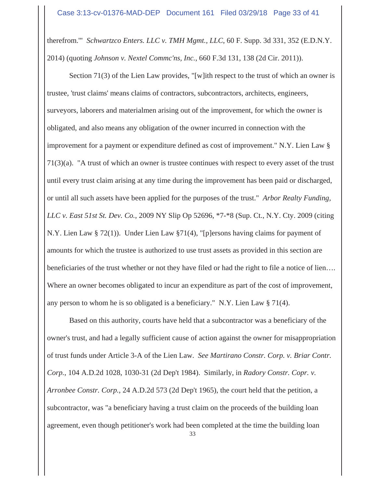therefrom.'" *Schwartzco Enters. LLC v. TMH Mgmt., LLC*, 60 F. Supp. 3d 331, 352 (E.D.N.Y. 2014) (quoting *Johnson v. Nextel Commc'ns, Inc.*, 660 F.3d 131, 138 (2d Cir. 2011)).

Section 71(3) of the Lien Law provides, "[w]ith respect to the trust of which an owner is trustee, 'trust claims' means claims of contractors, subcontractors, architects, engineers, surveyors, laborers and materialmen arising out of the improvement, for which the owner is obligated, and also means any obligation of the owner incurred in connection with the improvement for a payment or expenditure defined as cost of improvement." N.Y. Lien Law § 71(3)(a). "A trust of which an owner is trustee continues with respect to every asset of the trust until every trust claim arising at any time during the improvement has been paid or discharged, or until all such assets have been applied for the purposes of the trust." *Arbor Realty Funding, LLC v. East 51st St. Dev. Co.*, 2009 NY Slip Op 52696, \*7-\*8 (Sup. Ct., N.Y. Cty. 2009 (citing N.Y. Lien Law § 72(1)). Under Lien Law §71(4), "[p]ersons having claims for payment of amounts for which the trustee is authorized to use trust assets as provided in this section are beneficiaries of the trust whether or not they have filed or had the right to file a notice of lien…. Where an owner becomes obligated to incur an expenditure as part of the cost of improvement, any person to whom he is so obligated is a beneficiary." N.Y. Lien Law § 71(4).

Based on this authority, courts have held that a subcontractor was a beneficiary of the owner's trust, and had a legally sufficient cause of action against the owner for misappropriation of trust funds under Article 3-A of the Lien Law. *See Martirano Constr. Corp. v. Briar Contr. Corp.*, 104 A.D.2d 1028, 1030-31 (2d Dep't 1984). Similarly, in *Radory Constr. Copr. v. Arronbee Constr. Corp.*, 24 A.D.2d 573 (2d Dep't 1965), the court held that the petition, a subcontractor, was "a beneficiary having a trust claim on the proceeds of the building loan agreement, even though petitioner's work had been completed at the time the building loan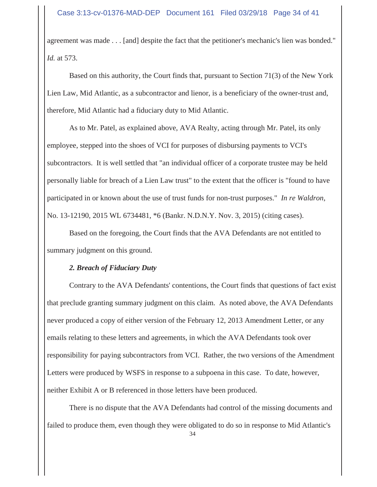agreement was made . . . [and] despite the fact that the petitioner's mechanic's lien was bonded." *Id.* at 573.

Based on this authority, the Court finds that, pursuant to Section 71(3) of the New York Lien Law, Mid Atlantic, as a subcontractor and lienor, is a beneficiary of the owner-trust and, therefore, Mid Atlantic had a fiduciary duty to Mid Atlantic.

As to Mr. Patel, as explained above, AVA Realty, acting through Mr. Patel, its only employee, stepped into the shoes of VCI for purposes of disbursing payments to VCI's subcontractors. It is well settled that "an individual officer of a corporate trustee may be held personally liable for breach of a Lien Law trust" to the extent that the officer is "found to have participated in or known about the use of trust funds for non-trust purposes." *In re Waldron*, No. 13-12190, 2015 WL 6734481, \*6 (Bankr. N.D.N.Y. Nov. 3, 2015) (citing cases).

Based on the foregoing, the Court finds that the AVA Defendants are not entitled to summary judgment on this ground.

# *2. Breach of Fiduciary Duty*

Contrary to the AVA Defendants' contentions, the Court finds that questions of fact exist that preclude granting summary judgment on this claim. As noted above, the AVA Defendants never produced a copy of either version of the February 12, 2013 Amendment Letter, or any emails relating to these letters and agreements, in which the AVA Defendants took over responsibility for paying subcontractors from VCI. Rather, the two versions of the Amendment Letters were produced by WSFS in response to a subpoena in this case. To date, however, neither Exhibit A or B referenced in those letters have been produced.

There is no dispute that the AVA Defendants had control of the missing documents and failed to produce them, even though they were obligated to do so in response to Mid Atlantic's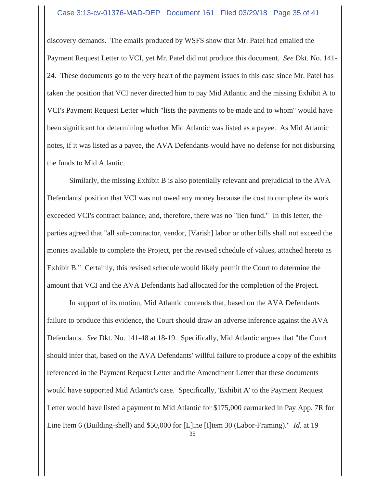#### Case 3:13-cv-01376-MAD-DEP Document 161 Filed 03/29/18 Page 35 of 41

discovery demands. The emails produced by WSFS show that Mr. Patel had emailed the Payment Request Letter to VCI, yet Mr. Patel did not produce this document. *See* Dkt. No. 141- 24. These documents go to the very heart of the payment issues in this case since Mr. Patel has taken the position that VCI never directed him to pay Mid Atlantic and the missing Exhibit A to VCI's Payment Request Letter which "lists the payments to be made and to whom" would have been significant for determining whether Mid Atlantic was listed as a payee. As Mid Atlantic notes, if it was listed as a payee, the AVA Defendants would have no defense for not disbursing the funds to Mid Atlantic.

Similarly, the missing Exhibit B is also potentially relevant and prejudicial to the AVA Defendants' position that VCI was not owed any money because the cost to complete its work exceeded VCI's contract balance, and, therefore, there was no "lien fund." In this letter, the parties agreed that "all sub-contractor, vendor, [Varish] labor or other bills shall not exceed the monies available to complete the Project, per the revised schedule of values, attached hereto as Exhibit B." Certainly, this revised schedule would likely permit the Court to determine the amount that VCI and the AVA Defendants had allocated for the completion of the Project.

In support of its motion, Mid Atlantic contends that, based on the AVA Defendants failure to produce this evidence, the Court should draw an adverse inference against the AVA Defendants. *See* Dkt. No. 141-48 at 18-19. Specifically, Mid Atlantic argues that "the Court should infer that, based on the AVA Defendants' willful failure to produce a copy of the exhibits referenced in the Payment Request Letter and the Amendment Letter that these documents would have supported Mid Atlantic's case. Specifically, 'Exhibit A' to the Payment Request Letter would have listed a payment to Mid Atlantic for \$175,000 earmarked in Pay App. 7R for Line Item 6 (Building-shell) and \$50,000 for [L]ine [I]tem 30 (Labor-Framing)." *Id.* at 19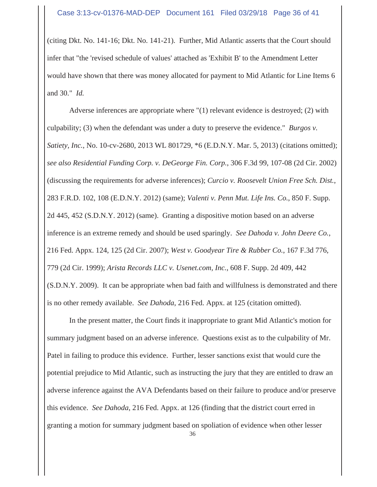(citing Dkt. No. 141-16; Dkt. No. 141-21). Further, Mid Atlantic asserts that the Court should infer that "the 'revised schedule of values' attached as 'Exhibit B' to the Amendment Letter would have shown that there was money allocated for payment to Mid Atlantic for Line Items 6 and 30." *Id.*

Adverse inferences are appropriate where "(1) relevant evidence is destroyed; (2) with culpability; (3) when the defendant was under a duty to preserve the evidence." *Burgos v. Satiety, Inc.*, No. 10-cv-2680, 2013 WL 801729, \*6 (E.D.N.Y. Mar. 5, 2013) (citations omitted); *see also Residential Funding Corp. v. DeGeorge Fin. Corp.*, 306 F.3d 99, 107-08 (2d Cir. 2002) (discussing the requirements for adverse inferences); *Curcio v. Roosevelt Union Free Sch. Dist.*, 283 F.R.D. 102, 108 (E.D.N.Y. 2012) (same); *Valenti v. Penn Mut. Life Ins. Co.*, 850 F. Supp. 2d 445, 452 (S.D.N.Y. 2012) (same). Granting a dispositive motion based on an adverse inference is an extreme remedy and should be used sparingly. *See Dahoda v. John Deere Co.*, 216 Fed. Appx. 124, 125 (2d Cir. 2007); *West v. Goodyear Tire & Rubber Co.*, 167 F.3d 776, 779 (2d Cir. 1999); *Arista Records LLC v. Usenet.com, Inc.*, 608 F. Supp. 2d 409, 442 (S.D.N.Y. 2009). It can be appropriate when bad faith and willfulness is demonstrated and there is no other remedy available. *See Dahoda*, 216 Fed. Appx. at 125 (citation omitted).

In the present matter, the Court finds it inappropriate to grant Mid Atlantic's motion for summary judgment based on an adverse inference. Questions exist as to the culpability of Mr. Patel in failing to produce this evidence. Further, lesser sanctions exist that would cure the potential prejudice to Mid Atlantic, such as instructing the jury that they are entitled to draw an adverse inference against the AVA Defendants based on their failure to produce and/or preserve this evidence. *See Dahoda*, 216 Fed. Appx. at 126 (finding that the district court erred in granting a motion for summary judgment based on spoliation of evidence when other lesser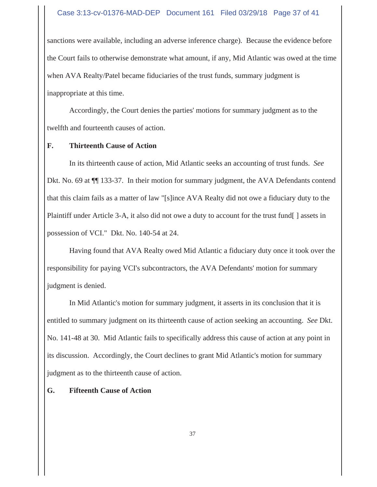#### Case 3:13-cv-01376-MAD-DEP Document 161 Filed 03/29/18 Page 37 of 41

sanctions were available, including an adverse inference charge). Because the evidence before the Court fails to otherwise demonstrate what amount, if any, Mid Atlantic was owed at the time when AVA Realty/Patel became fiduciaries of the trust funds, summary judgment is inappropriate at this time.

Accordingly, the Court denies the parties' motions for summary judgment as to the twelfth and fourteenth causes of action.

#### **F. Thirteenth Cause of Action**

In its thirteenth cause of action, Mid Atlantic seeks an accounting of trust funds. *See* Dkt. No. 69 at ¶¶ 133-37. In their motion for summary judgment, the AVA Defendants contend that this claim fails as a matter of law "[s]ince AVA Realty did not owe a fiduciary duty to the Plaintiff under Article 3-A, it also did not owe a duty to account for the trust fund[ ] assets in possession of VCI." Dkt. No. 140-54 at 24.

Having found that AVA Realty owed Mid Atlantic a fiduciary duty once it took over the responsibility for paying VCI's subcontractors, the AVA Defendants' motion for summary judgment is denied.

In Mid Atlantic's motion for summary judgment, it asserts in its conclusion that it is entitled to summary judgment on its thirteenth cause of action seeking an accounting. *See* Dkt. No. 141-48 at 30. Mid Atlantic fails to specifically address this cause of action at any point in its discussion. Accordingly, the Court declines to grant Mid Atlantic's motion for summary judgment as to the thirteenth cause of action.

#### **G. Fifteenth Cause of Action**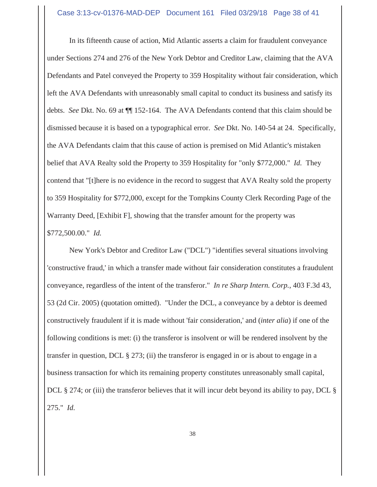#### Case 3:13-cv-01376-MAD-DEP Document 161 Filed 03/29/18 Page 38 of 41

In its fifteenth cause of action, Mid Atlantic asserts a claim for fraudulent conveyance under Sections 274 and 276 of the New York Debtor and Creditor Law, claiming that the AVA Defendants and Patel conveyed the Property to 359 Hospitality without fair consideration, which left the AVA Defendants with unreasonably small capital to conduct its business and satisfy its debts. *See* Dkt. No. 69 at ¶¶ 152-164. The AVA Defendants contend that this claim should be dismissed because it is based on a typographical error. *See* Dkt. No. 140-54 at 24. Specifically, the AVA Defendants claim that this cause of action is premised on Mid Atlantic's mistaken belief that AVA Realty sold the Property to 359 Hospitality for "only \$772,000." *Id.* They contend that "[t]here is no evidence in the record to suggest that AVA Realty sold the property to 359 Hospitality for \$772,000, except for the Tompkins County Clerk Recording Page of the Warranty Deed, [Exhibit F], showing that the transfer amount for the property was \$772,500.00." *Id.*

New York's Debtor and Creditor Law ("DCL") "identifies several situations involving 'constructive fraud,' in which a transfer made without fair consideration constitutes a fraudulent conveyance, regardless of the intent of the transferor." *In re Sharp Intern. Corp.*, 403 F.3d 43, 53 (2d Cir. 2005) (quotation omitted). "Under the DCL, a conveyance by a debtor is deemed constructively fraudulent if it is made without 'fair consideration,' and (*inter alia*) if one of the following conditions is met: (i) the transferor is insolvent or will be rendered insolvent by the transfer in question, DCL  $\S 273$ ; (ii) the transferor is engaged in or is about to engage in a business transaction for which its remaining property constitutes unreasonably small capital, DCL § 274; or (iii) the transferor believes that it will incur debt beyond its ability to pay, DCL § 275." *Id.*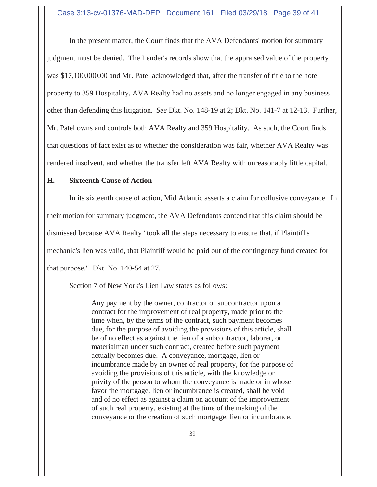In the present matter, the Court finds that the AVA Defendants' motion for summary judgment must be denied. The Lender's records show that the appraised value of the property was \$17,100,000.00 and Mr. Patel acknowledged that, after the transfer of title to the hotel property to 359 Hospitality, AVA Realty had no assets and no longer engaged in any business other than defending this litigation. *See* Dkt. No. 148-19 at 2; Dkt. No. 141-7 at 12-13. Further, Mr. Patel owns and controls both AVA Realty and 359 Hospitality. As such, the Court finds that questions of fact exist as to whether the consideration was fair, whether AVA Realty was rendered insolvent, and whether the transfer left AVA Realty with unreasonably little capital.

#### **H. Sixteenth Cause of Action**

In its sixteenth cause of action, Mid Atlantic asserts a claim for collusive conveyance. In

their motion for summary judgment, the AVA Defendants contend that this claim should be

dismissed because AVA Realty "took all the steps necessary to ensure that, if Plaintiff's

mechanic's lien was valid, that Plaintiff would be paid out of the contingency fund created for

that purpose." Dkt. No. 140-54 at 27.

Section 7 of New York's Lien Law states as follows:

Any payment by the owner, contractor or subcontractor upon a contract for the improvement of real property, made prior to the time when, by the terms of the contract, such payment becomes due, for the purpose of avoiding the provisions of this article, shall be of no effect as against the lien of a subcontractor, laborer, or materialman under such contract, created before such payment actually becomes due. A conveyance, mortgage, lien or incumbrance made by an owner of real property, for the purpose of avoiding the provisions of this article, with the knowledge or privity of the person to whom the conveyance is made or in whose favor the mortgage, lien or incumbrance is created, shall be void and of no effect as against a claim on account of the improvement of such real property, existing at the time of the making of the conveyance or the creation of such mortgage, lien or incumbrance.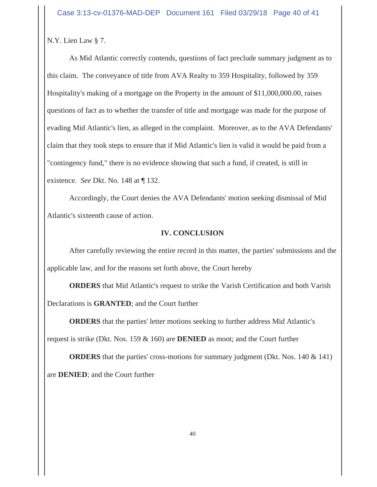N.Y. Lien Law § 7.

As Mid Atlantic correctly contends, questions of fact preclude summary judgment as to this claim. The conveyance of title from AVA Realty to 359 Hospitality, followed by 359 Hospitality's making of a mortgage on the Property in the amount of \$11,000,000.00, raises questions of fact as to whether the transfer of title and mortgage was made for the purpose of evading Mid Atlantic's lien, as alleged in the complaint. Moreover, as to the AVA Defendants' claim that they took steps to ensure that if Mid Atlantic's lien is valid it would be paid from a "contingency fund," there is no evidence showing that such a fund, if created, is still in existence. *See* Dkt. No. 148 at ¶ 132.

Accordingly, the Court denies the AVA Defendants' motion seeking dismissal of Mid Atlantic's sixteenth cause of action.

# **IV. CONCLUSION**

After carefully reviewing the entire record in this matter, the parties' submissions and the applicable law, and for the reasons set forth above, the Court hereby

**ORDERS** that Mid Atlantic's request to strike the Varish Certification and both Varish Declarations is **GRANTED**; and the Court further

**ORDERS** that the parties' letter motions seeking to further address Mid Atlantic's

request is strike (Dkt. Nos. 159 & 160) are **DENIED** as moot; and the Court further

**ORDERS** that the parties' cross-motions for summary judgment (Dkt. Nos. 140 & 141) are **DENIED**; and the Court further